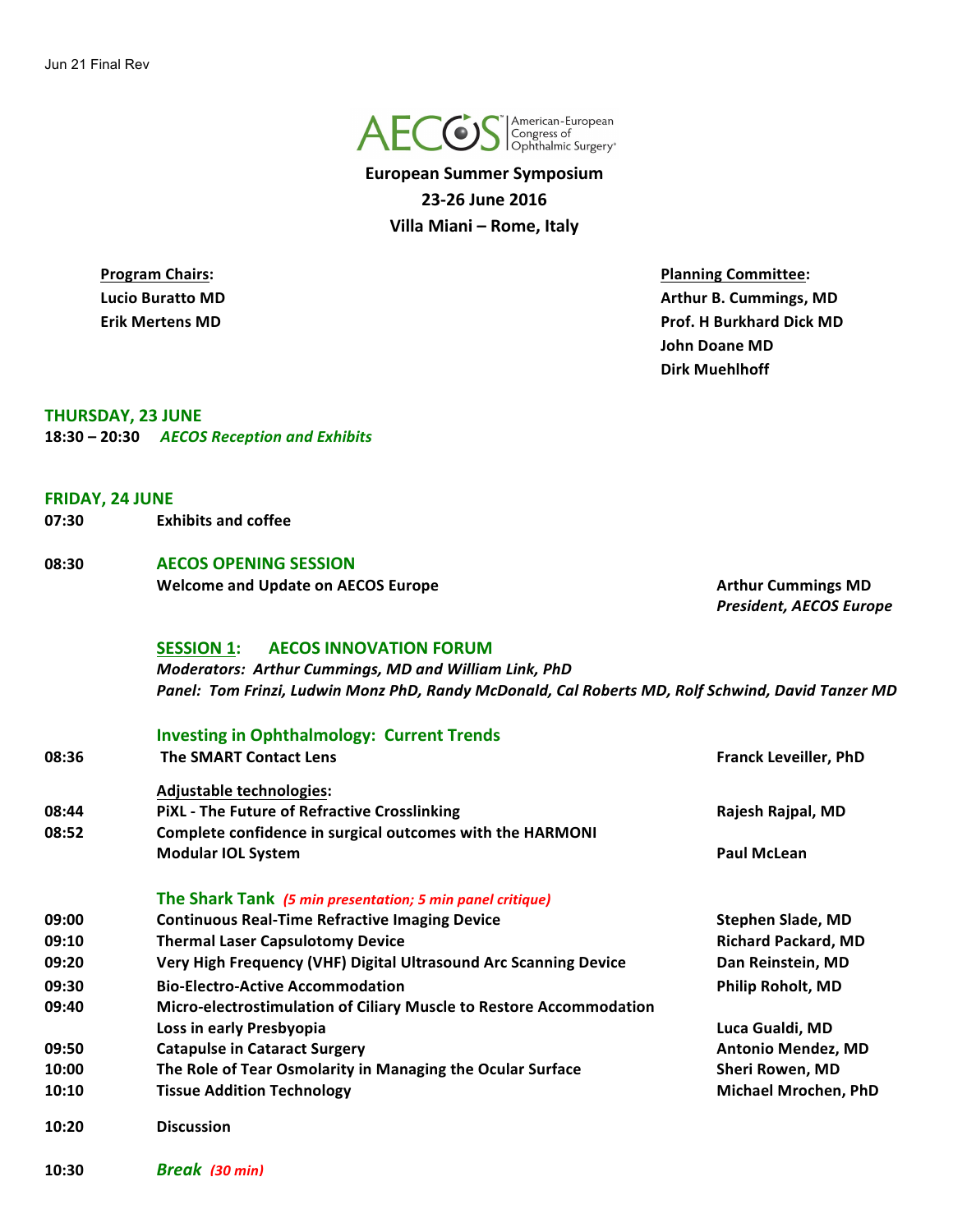

**European Summer Symposium 23-26 June 2016 Villa Miani – Rome, Italy** 

**Program Chairs: Program Chairs: Planning Committee: Lucio Buratto MD Arthur B. Cummings, MD Arthur B. Cummings, MD Erik Mertens MD Prof. H Burkhard Dick MD John Doane MD Dirk Muehlhoff**

**THURSDAY, 23 JUNE 18:30 – 20:30**  *AECOS Reception and Exhibits*

#### **FRIDAY, 24 JUNE**

**07:30**  **Exhibits and coffee**

# **08:30 AECOS OPENING SESSION**

**Welcome** and Update on AECOS Europe **Arthur** Cummings MD

*President, AECOS Europe*

#### **SESSION 1: AECOS INNOVATION FORUM**

*Moderators: Arthur Cummings, MD and William Link, PhD Panel: Tom Frinzi, Ludwin Monz PhD, Randy McDonald, Cal Roberts MD, Rolf Schwind, David Tanzer MD*

|       | <b>Investing in Ophthalmology: Current Trends</b>                   |                              |
|-------|---------------------------------------------------------------------|------------------------------|
| 08:36 | <b>The SMART Contact Lens</b>                                       | <b>Franck Leveiller, PhD</b> |
|       | <b>Adjustable technologies:</b>                                     |                              |
| 08:44 | <b>PIXL - The Future of Refractive Crosslinking</b>                 | Rajesh Rajpal, MD            |
| 08:52 | Complete confidence in surgical outcomes with the HARMONI           |                              |
|       | <b>Modular IOL System</b>                                           | <b>Paul McLean</b>           |
|       | The Shark Tank (5 min presentation; 5 min panel critique)           |                              |
| 09:00 | <b>Continuous Real-Time Refractive Imaging Device</b>               | <b>Stephen Slade, MD</b>     |
| 09:10 | <b>Thermal Laser Capsulotomy Device</b>                             | <b>Richard Packard, MD</b>   |
| 09:20 | Very High Frequency (VHF) Digital Ultrasound Arc Scanning Device    | Dan Reinstein, MD            |
| 09:30 | <b>Bio-Electro-Active Accommodation</b>                             | <b>Philip Roholt, MD</b>     |
| 09:40 | Micro-electrostimulation of Ciliary Muscle to Restore Accommodation |                              |
|       | Loss in early Presbyopia                                            | Luca Gualdi, MD              |
| 09:50 | <b>Catapulse in Cataract Surgery</b>                                | <b>Antonio Mendez, MD</b>    |
| 10:00 | The Role of Tear Osmolarity in Managing the Ocular Surface          | Sheri Rowen, MD              |
| 10:10 | <b>Tissue Addition Technology</b>                                   | <b>Michael Mrochen, PhD</b>  |
| 10:20 | <b>Discussion</b>                                                   |                              |

**10:30** *Break (30 min)*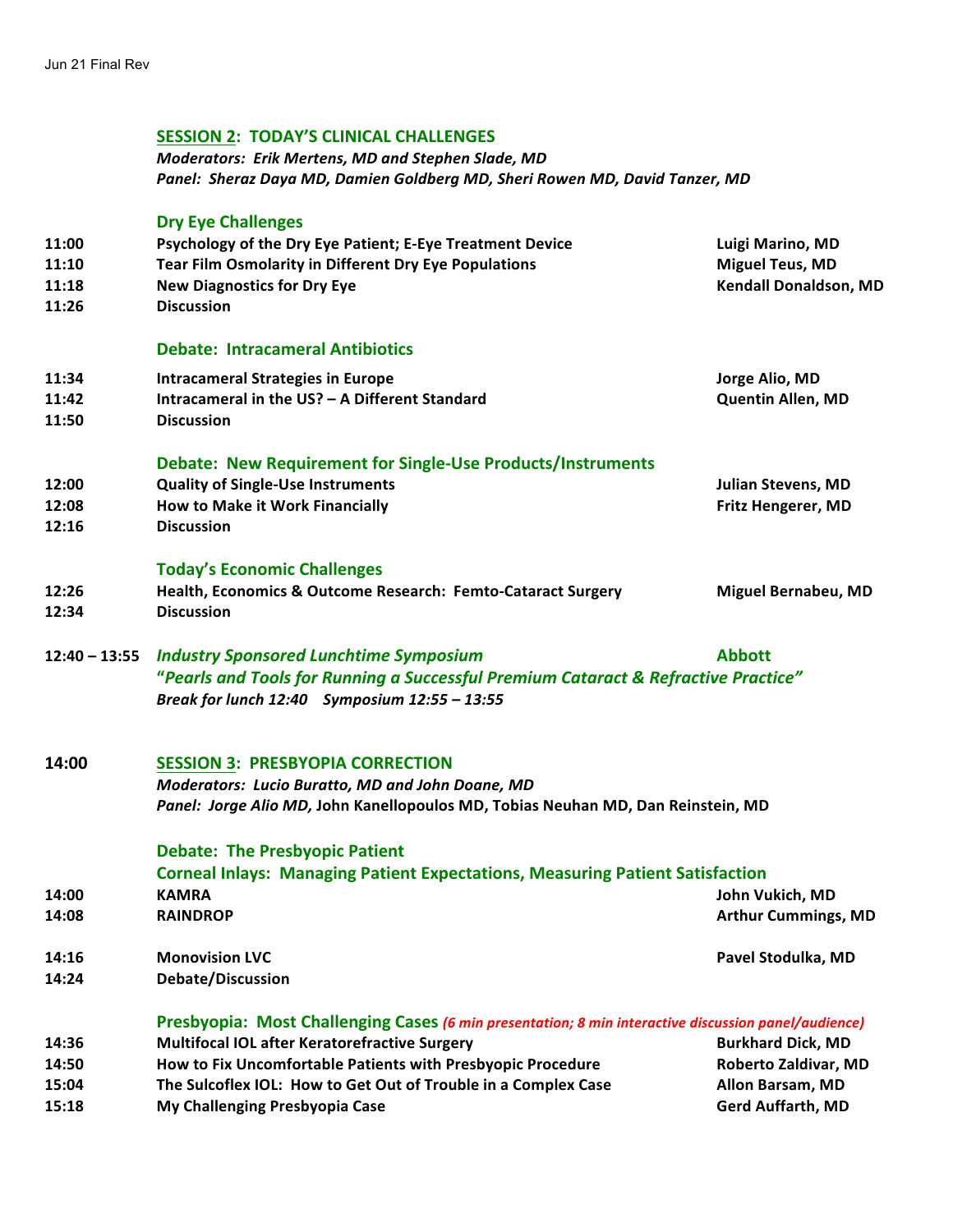#### **SESSION 2: TODAY'S CLINICAL CHALLENGES**

*Moderators: Erik Mertens, MD and Stephen Slade, MD Panel: Sheraz Daya MD, Damien Goldberg MD, Sheri Rowen MD, David Tanzer, MD*

# **Dry Eye Challenges**

|                 | <b>DIY LYC CHANCHECS</b>                                                                             |                            |
|-----------------|------------------------------------------------------------------------------------------------------|----------------------------|
| 11:00           | Psychology of the Dry Eye Patient; E-Eye Treatment Device                                            | Luigi Marino, MD           |
| 11:10           | Tear Film Osmolarity in Different Dry Eye Populations                                                | <b>Miguel Teus, MD</b>     |
| 11:18           | <b>New Diagnostics for Dry Eye</b>                                                                   | Kendall Donaldson, MD      |
| 11:26           | <b>Discussion</b>                                                                                    |                            |
|                 |                                                                                                      |                            |
|                 | <b>Debate: Intracameral Antibiotics</b>                                                              |                            |
| 11:34           | <b>Intracameral Strategies in Europe</b>                                                             | Jorge Alio, MD             |
| 11:42           | Intracameral in the US? - A Different Standard                                                       | Quentin Allen, MD          |
| 11:50           | <b>Discussion</b>                                                                                    |                            |
|                 |                                                                                                      |                            |
|                 | Debate: New Requirement for Single-Use Products/Instruments                                          |                            |
| 12:00           | <b>Quality of Single-Use Instruments</b>                                                             | <b>Julian Stevens, MD</b>  |
| 12:08           | How to Make it Work Financially                                                                      | Fritz Hengerer, MD         |
| 12:16           | <b>Discussion</b>                                                                                    |                            |
|                 | <b>Today's Economic Challenges</b>                                                                   |                            |
| 12:26           | Health, Economics & Outcome Research: Femto-Cataract Surgery                                         | <b>Miguel Bernabeu, MD</b> |
| 12:34           | <b>Discussion</b>                                                                                    |                            |
|                 |                                                                                                      |                            |
| $12:40 - 13:55$ | <b>Industry Sponsored Lunchtime Symposium</b>                                                        | <b>Abbott</b>              |
|                 | "Pearls and Tools for Running a Successful Premium Cataract & Refractive Practice"                   |                            |
|                 | Break for lunch 12:40 Symposium 12:55 - 13:55                                                        |                            |
|                 |                                                                                                      |                            |
|                 |                                                                                                      |                            |
| 14:00           | <b>SESSION 3: PRESBYOPIA CORRECTION</b>                                                              |                            |
|                 | Moderators: Lucio Buratto, MD and John Doane, MD                                                     |                            |
|                 | Panel: Jorge Alio MD, John Kanellopoulos MD, Tobias Neuhan MD, Dan Reinstein, MD                     |                            |
|                 | <b>Debate: The Presbyopic Patient</b>                                                                |                            |
|                 | <b>Corneal Inlays: Managing Patient Expectations, Measuring Patient Satisfaction</b>                 |                            |
| 14:00           | <b>KAMRA</b>                                                                                         | John Vukich, MD            |
| 14:08           | <b>RAINDROP</b>                                                                                      | <b>Arthur Cummings, MD</b> |
|                 |                                                                                                      |                            |
| 14:16           | <b>Monovision LVC</b>                                                                                | Pavel Stodulka, MD         |
| 14:24           | <b>Debate/Discussion</b>                                                                             |                            |
|                 | Presbyopia: Most Challenging Cases (6 min presentation; 8 min interactive discussion panel/audience) |                            |
| 14:36           | Multifocal IOL after Keratorefractive Surgery                                                        | <b>Burkhard Dick, MD</b>   |
| 14:50           | How to Fix Uncomfortable Patients with Presbyopic Procedure                                          | Roberto Zaldivar, MD       |
| 15:04           | The Sulcoflex IOL: How to Get Out of Trouble in a Complex Case                                       | Allon Barsam, MD           |
| 15:18           | My Challenging Presbyopia Case                                                                       | <b>Gerd Auffarth, MD</b>   |
|                 |                                                                                                      |                            |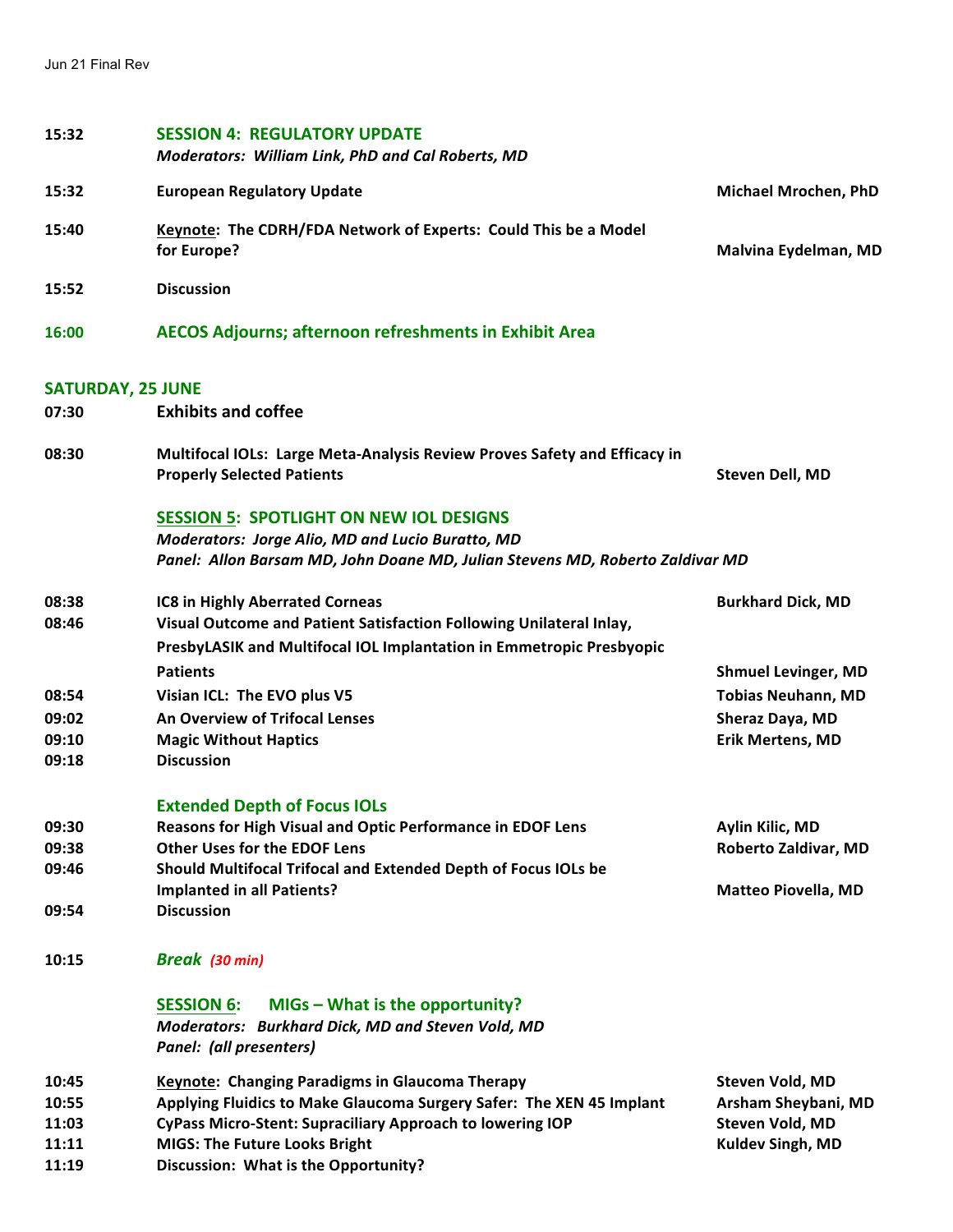| 15:32                    | <b>SESSION 4: REGULATORY UPDATE</b><br>Moderators: William Link, PhD and Cal Roberts, MD                                                 |                                              |
|--------------------------|------------------------------------------------------------------------------------------------------------------------------------------|----------------------------------------------|
| 15:32                    | <b>European Regulatory Update</b>                                                                                                        | Michael Mrochen, PhD                         |
| 15:40                    | Keynote: The CDRH/FDA Network of Experts: Could This be a Model<br>for Europe?                                                           | Malvina Eydelman, MD                         |
| 15:52                    | <b>Discussion</b>                                                                                                                        |                                              |
| 16:00                    | <b>AECOS Adjourns; afternoon refreshments in Exhibit Area</b>                                                                            |                                              |
| <b>SATURDAY, 25 JUNE</b> |                                                                                                                                          |                                              |
| 07:30                    | <b>Exhibits and coffee</b>                                                                                                               |                                              |
| 08:30                    | Multifocal IOLs: Large Meta-Analysis Review Proves Safety and Efficacy in<br><b>Properly Selected Patients</b>                           | Steven Dell, MD                              |
|                          | <b>SESSION 5: SPOTLIGHT ON NEW IOL DESIGNS</b>                                                                                           |                                              |
|                          | <b>Moderators: Jorge Alio, MD and Lucio Buratto, MD</b><br>Panel: Allon Barsam MD, John Doane MD, Julian Stevens MD, Roberto Zaldivar MD |                                              |
|                          |                                                                                                                                          |                                              |
| 08:38                    | <b>IC8 in Highly Aberrated Corneas</b>                                                                                                   | <b>Burkhard Dick, MD</b>                     |
| 08:46                    | Visual Outcome and Patient Satisfaction Following Unilateral Inlay,                                                                      |                                              |
|                          | PresbyLASIK and Multifocal IOL Implantation in Emmetropic Presbyopic                                                                     |                                              |
| 08:54                    | <b>Patients</b>                                                                                                                          | <b>Shmuel Levinger, MD</b>                   |
| 09:02                    | Visian ICL: The EVO plus V5<br>An Overview of Trifocal Lenses                                                                            | <b>Tobias Neuhann, MD</b><br>Sheraz Daya, MD |
| 09:10                    | <b>Magic Without Haptics</b>                                                                                                             | <b>Erik Mertens, MD</b>                      |
| 09:18                    | <b>Discussion</b>                                                                                                                        |                                              |
|                          | <b>Extended Depth of Focus IOLs</b>                                                                                                      |                                              |
| 09:30                    | Reasons for High Visual and Optic Performance in EDOF Lens                                                                               | Aylin Kilic, MD                              |
| 09:38                    | <b>Other Uses for the EDOF Lens</b>                                                                                                      | Roberto Zaldivar, MD                         |
| 09:46                    | Should Multifocal Trifocal and Extended Depth of Focus IOLs be                                                                           |                                              |
|                          | <b>Implanted in all Patients?</b><br><b>Discussion</b>                                                                                   | <b>Matteo Piovella, MD</b>                   |
| 09:54                    |                                                                                                                                          |                                              |
| 10:15                    | Break (30 min)                                                                                                                           |                                              |
|                          | MIGs - What is the opportunity?<br><b>SESSION 6:</b><br>Moderators: Burkhard Dick, MD and Steven Vold, MD<br>Panel: (all presenters)     |                                              |
| 10:45                    | <b>Keynote: Changing Paradigms in Glaucoma Therapy</b>                                                                                   | Steven Vold, MD                              |
| 10:55                    | Applying Fluidics to Make Glaucoma Surgery Safer: The XEN 45 Implant                                                                     | Arsham Sheybani, MD                          |
| 11:03                    | <b>CyPass Micro-Stent: Supraciliary Approach to lowering IOP</b>                                                                         | Steven Vold, MD                              |
| 11:11                    | <b>MIGS: The Future Looks Bright</b>                                                                                                     | Kuldev Singh, MD                             |
| 11:19                    | Discussion: What is the Opportunity?                                                                                                     |                                              |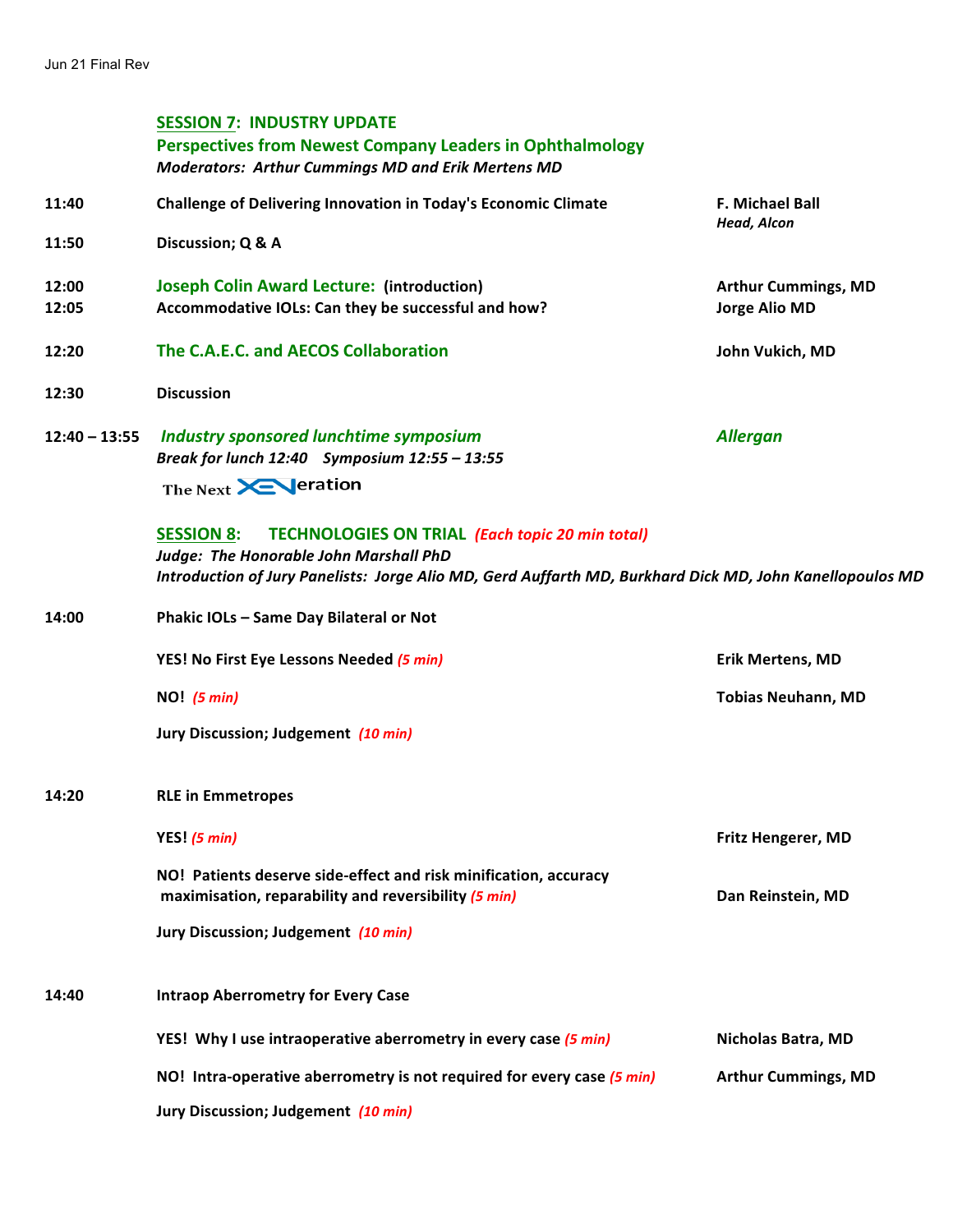# **SESSION 7: INDUSTRY UPDATE**

|                 | <b>Perspectives from Newest Company Leaders in Ophthalmology</b><br><b>Moderators: Arthur Cummings MD and Erik Mertens MD</b> |                                |
|-----------------|-------------------------------------------------------------------------------------------------------------------------------|--------------------------------|
| 11:40           | Challenge of Delivering Innovation in Today's Economic Climate                                                                | F. Michael Ball<br>Head, Alcon |
| 11:50           | Discussion; Q & A                                                                                                             |                                |
| 12:00           | <b>Joseph Colin Award Lecture: (introduction)</b>                                                                             | <b>Arthur Cummings, MD</b>     |
| 12:05           | Accommodative IOLs: Can they be successful and how?                                                                           | <b>Jorge Alio MD</b>           |
| 12:20           | The C.A.E.C. and AECOS Collaboration                                                                                          | John Vukich, MD                |
| 12:30           | <b>Discussion</b>                                                                                                             |                                |
| $12:40 - 13:55$ | <b>Industry sponsored lunchtime symposium</b><br>Break for lunch 12:40 Symposium 12:55 - 13:55                                | <b>Allergan</b>                |
|                 | The Next <b>XEV</b> eration                                                                                                   |                                |
|                 | <b>SESSION 8:</b><br><b>TECHNOLOGIES ON TRIAL (Each topic 20 min total)</b><br>Judge: The Honorable John Marshall PhD         |                                |
|                 | Introduction of Jury Panelists: Jorge Alio MD, Gerd Auffarth MD, Burkhard Dick MD, John Kanellopoulos MD                      |                                |
| 14:00           | Phakic IOLs - Same Day Bilateral or Not                                                                                       |                                |
|                 | YES! No First Eye Lessons Needed (5 min)                                                                                      | <b>Erik Mertens, MD</b>        |
|                 | $NO!$ (5 min)                                                                                                                 | <b>Tobias Neuhann, MD</b>      |
|                 | Jury Discussion; Judgement (10 min)                                                                                           |                                |

**14:20 RLE** in Emmetropes

|       | YES! $(5 min)$                                                                                                           | <b>Fritz Hengerer, MD</b>  |
|-------|--------------------------------------------------------------------------------------------------------------------------|----------------------------|
|       | NO! Patients deserve side-effect and risk minification, accuracy<br>maximisation, reparability and reversibility (5 min) | Dan Reinstein, MD          |
|       | Jury Discussion; Judgement (10 min)                                                                                      |                            |
| 14:40 | <b>Intraop Aberrometry for Every Case</b>                                                                                |                            |
|       | YES! Why I use intraoperative aberrometry in every case (5 min)                                                          | Nicholas Batra, MD         |
|       | NO! Intra-operative aberrometry is not required for every case (5 min)                                                   | <b>Arthur Cummings, MD</b> |
|       | Jury Discussion; Judgement (10 min)                                                                                      |                            |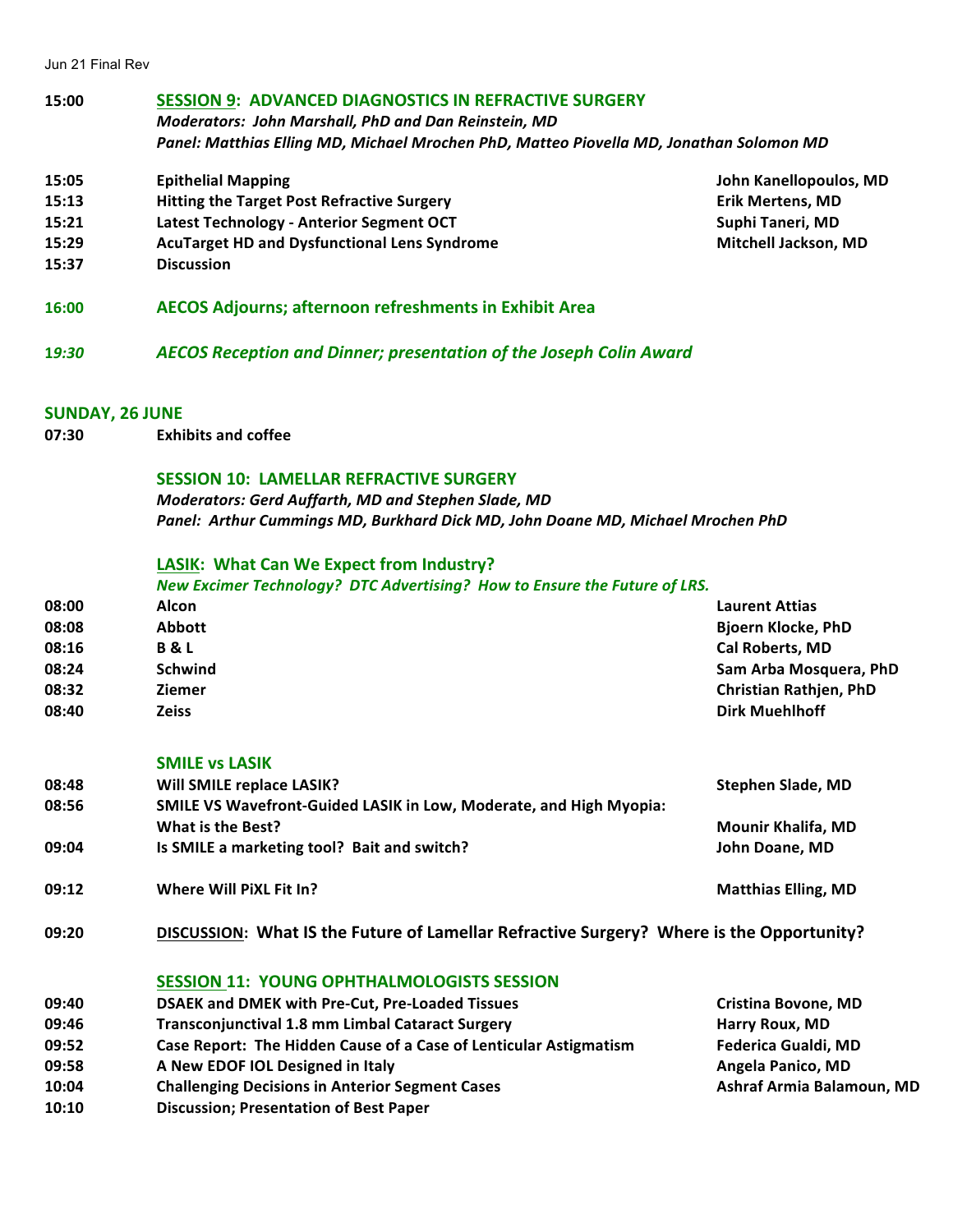Jun 21 Final Rev

- **15:00 SESSION 9: ADVANCED DIAGNOSTICS IN REFRACTIVE SURGERY** *Moderators: John Marshall, PhD and Dan Reinstein, MD Panel: Matthias Elling MD, Michael Mrochen PhD, Matteo Piovella MD, Jonathan Solomon MD*
- **15:05 Epithelial Mapping John Kanellopoulos, MD**
- **15:13 Hitting the Target Post Refractive Surgery Elected State Surgery Erik Mertens, MD**
- **15:21 Latest Technology Anterior Segment OCT Suphi Taneri, MD Suphi Taneri, MD**
- **15:29 AcuTarget HD and Dysfunctional Lens Syndrome <b>Mitchell** Jackson, MD
- **15:37 Discussion**
- **16:00 AECOS Adjourns; afternoon refreshments in Exhibit Area**
- **1***9:30 AECOS Reception and Dinner; presentation of the Joseph Colin Award*

## **SUNDAY, 26 JUNE**

**07:30**  **Exhibits and coffee** 

#### **SESSION 10: LAMELLAR REFRACTIVE SURGERY**

*Moderators: Gerd Auffarth, MD and Stephen Slade, MD Panel: Arthur Cummings MD, Burkhard Dick MD, John Doane MD, Michael Mrochen PhD*

#### **LASIK: What Can We Expect from Industry?**

|       | New Excimer Technology? DTC Advertising? How to Ensure the Future of LRS. |                               |
|-------|---------------------------------------------------------------------------|-------------------------------|
| 08:00 | Alcon                                                                     | <b>Laurent Attias</b>         |
| 08:08 | <b>Abbott</b>                                                             | <b>Bjoern Klocke, PhD</b>     |
| 08:16 | <b>B&amp;L</b>                                                            | <b>Cal Roberts, MD</b>        |
| 08:24 | <b>Schwind</b>                                                            | Sam Arba Mosquera, PhD        |
| 08:32 | <b>Ziemer</b>                                                             | <b>Christian Rathjen, PhD</b> |
| 08:40 | <b>Zeiss</b>                                                              | <b>Dirk Muehlhoff</b>         |

#### **SMILE vs LASIK**

| 08:48 | Will SMILE replace LASIK?                                                 | Stephen Slade, MD          |
|-------|---------------------------------------------------------------------------|----------------------------|
| 08:56 | <b>SMILE VS Wavefront-Guided LASIK in Low, Moderate, and High Myopia:</b> |                            |
|       | What is the Best?                                                         | <b>Mounir Khalifa, MD</b>  |
| 09:04 | Is SMILE a marketing tool? Bait and switch?                               | John Doane, MD             |
| 09:12 | Where Will PiXL Fit In?                                                   | <b>Matthias Elling, MD</b> |

09:20 **DISCUSSION:** What IS the Future of Lamellar Refractive Surgery? Where is the Opportunity?

## **SESSION 11: YOUNG OPHTHALMOLOGISTS SESSION**

| 09:40 | <b>DSAEK and DMEK with Pre-Cut, Pre-Loaded Tissues</b>            | <b>Cristina Bovone, MD</b> |
|-------|-------------------------------------------------------------------|----------------------------|
| 09:46 | <b>Transconjunctival 1.8 mm Limbal Cataract Surgery</b>           | Harry Roux, MD             |
| 09:52 | Case Report: The Hidden Cause of a Case of Lenticular Astigmatism | <b>Federica Gualdi, MD</b> |
| 09:58 | A New EDOF IOL Designed in Italy                                  | Angela Panico, MD          |
| 10:04 | <b>Challenging Decisions in Anterior Segment Cases</b>            | Ashraf Armia Balamoun, MD  |

**10:10 Discussion; Presentation of Best Paper**